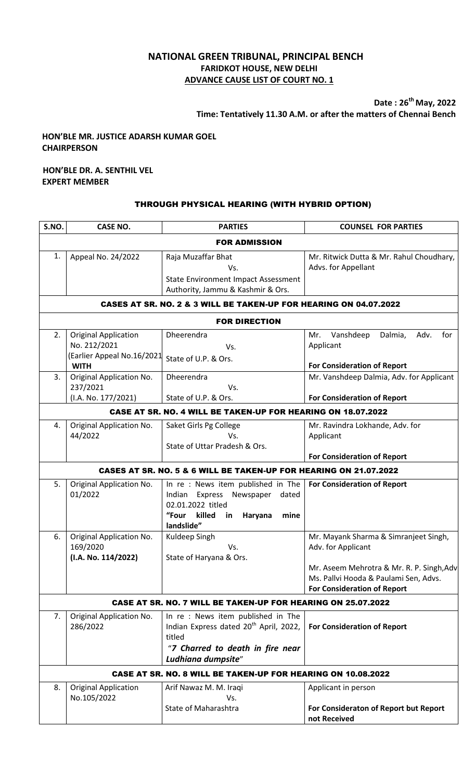# **NATIONAL GREEN TRIBUNAL, PRINCIPAL BENCH FARIDKOT HOUSE, NEW DELHI ADVANCE CAUSE LIST OF COURT NO. 1**

**Date : 26 th May, 2022 Time: Tentatively 11.30 A.M. or after the matters of Chennai Bench**

# **HON'BLE MR. JUSTICE ADARSH KUMAR GOEL CHAIRPERSON**

#### **HON'BLE DR. A. SENTHIL VEL EXPERT MEMBER**

### THROUGH PHYSICAL HEARING (WITH HYBRID OPTION)

| S.NO.                                                                                                                                                    | <b>CASE NO.</b>                                                                          | <b>PARTIES</b>                                                                                                                                              | <b>COUNSEL FOR PARTIES</b>                                                                               |  |  |
|----------------------------------------------------------------------------------------------------------------------------------------------------------|------------------------------------------------------------------------------------------|-------------------------------------------------------------------------------------------------------------------------------------------------------------|----------------------------------------------------------------------------------------------------------|--|--|
| <b>FOR ADMISSION</b>                                                                                                                                     |                                                                                          |                                                                                                                                                             |                                                                                                          |  |  |
| 1.                                                                                                                                                       | Appeal No. 24/2022                                                                       | Raja Muzaffar Bhat<br>Vs.<br>State Environment Impact Assessment<br>Authority, Jammu & Kashmir & Ors.                                                       | Mr. Ritwick Dutta & Mr. Rahul Choudhary,<br>Advs. for Appellant                                          |  |  |
|                                                                                                                                                          |                                                                                          | CASES AT SR. NO. 2 & 3 WILL BE TAKEN-UP FOR HEARING ON 04.07.2022                                                                                           |                                                                                                          |  |  |
| <b>FOR DIRECTION</b>                                                                                                                                     |                                                                                          |                                                                                                                                                             |                                                                                                          |  |  |
| 2.                                                                                                                                                       | <b>Original Application</b><br>No. 212/2021<br>(Earlier Appeal No.16/2021<br><b>WITH</b> | Dheerendra<br>Vs.<br>State of U.P. & Ors.                                                                                                                   | Vanshdeep<br>Dalmia,<br>Adv.<br>for<br>Mr.<br>Applicant<br><b>For Consideration of Report</b>            |  |  |
| 3.                                                                                                                                                       | Original Application No.<br>237/2021                                                     | Dheerendra<br>Vs.                                                                                                                                           | Mr. Vanshdeep Dalmia, Adv. for Applicant                                                                 |  |  |
| (I.A. No. 177/2021)<br>State of U.P. & Ors.<br><b>For Consideration of Report</b><br><b>CASE AT SR. NO. 4 WILL BE TAKEN-UP FOR HEARING ON 18.07.2022</b> |                                                                                          |                                                                                                                                                             |                                                                                                          |  |  |
| 4.                                                                                                                                                       | Original Application No.<br>44/2022                                                      | Saket Girls Pg College<br>Vs.<br>State of Uttar Pradesh & Ors.                                                                                              | Mr. Ravindra Lokhande, Adv. for<br>Applicant<br><b>For Consideration of Report</b>                       |  |  |
|                                                                                                                                                          |                                                                                          | CASES AT SR. NO. 5 & 6 WILL BE TAKEN-UP FOR HEARING ON 21.07.2022                                                                                           |                                                                                                          |  |  |
| 5.                                                                                                                                                       | Original Application No.<br>01/2022                                                      | In re: News item published in The<br>Indian Express<br>Newspaper<br>dated<br>02.01.2022 titled<br>"Four<br>killed<br>in<br>Haryana<br>mine<br>landslide"    | <b>For Consideration of Report</b>                                                                       |  |  |
| 6.                                                                                                                                                       | Original Application No.<br>169/2020<br>(I.A. No. 114/2022)                              | Kuldeep Singh<br>Vs.<br>State of Haryana & Ors.                                                                                                             | Mr. Mayank Sharma & Simranjeet Singh,<br>Adv. for Applicant<br>Mr. Aseem Mehrotra & Mr. R. P. Singh, Adv |  |  |
|                                                                                                                                                          |                                                                                          |                                                                                                                                                             | Ms. Pallvi Hooda & Paulami Sen, Advs.<br><b>For Consideration of Report</b>                              |  |  |
| <b>CASE AT SR. NO. 7 WILL BE TAKEN-UP FOR HEARING ON 25.07.2022</b>                                                                                      |                                                                                          |                                                                                                                                                             |                                                                                                          |  |  |
| 7.                                                                                                                                                       | Original Application No.<br>286/2022                                                     | In re: News item published in The<br>Indian Express dated 20 <sup>th</sup> April, 2022,<br>titled<br>"7 Charred to death in fire near<br>Ludhiana dumpsite" | <b>For Consideration of Report</b>                                                                       |  |  |
|                                                                                                                                                          |                                                                                          | <b>CASE AT SR. NO. 8 WILL BE TAKEN-UP FOR HEARING ON 10.08.2022</b>                                                                                         |                                                                                                          |  |  |
| 8.                                                                                                                                                       | <b>Original Application</b><br>No.105/2022                                               | Arif Nawaz M. M. Iraqi<br>Vs.<br><b>State of Maharashtra</b>                                                                                                | Applicant in person<br>For Consideraton of Report but Report<br>not Received                             |  |  |